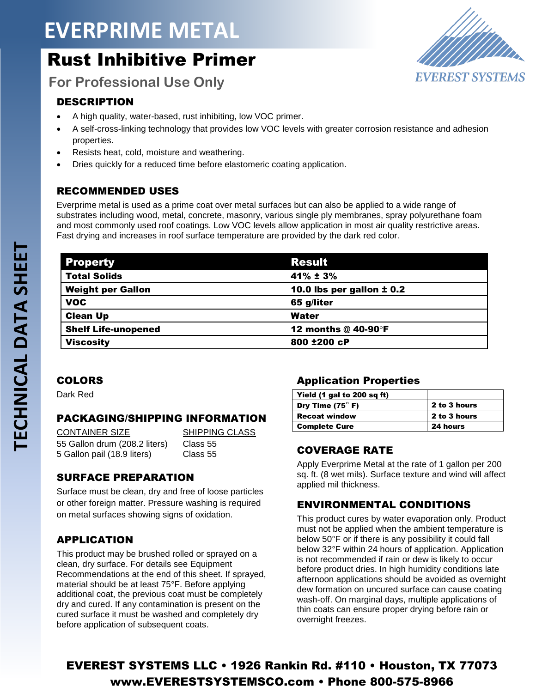# **EVERPRIME METAL**

## Rust Inhibitive Primer



**For Professional Use Only**

#### DESCRIPTION

- A high quality, water-based, rust inhibiting, low VOC primer.
- A self-cross-linking technology that provides low VOC levels with greater corrosion resistance and adhesion properties.
- Resists heat, cold, moisture and weathering.
- Dries quickly for a reduced time before elastomeric coating application.

#### RECOMMENDED USES

Everprime metal is used as a prime coat over metal surfaces but can also be applied to a wide range of substrates including wood, metal, concrete, masonry, various single ply membranes, spray polyurethane foam and most commonly used roof coatings. Low VOC levels allow application in most air quality restrictive areas. Fast drying and increases in roof surface temperature are provided by the dark red color.

| <b>Property</b>            | <b>Result</b>                 |
|----------------------------|-------------------------------|
| <b>Total Solids</b>        | $41\% \pm 3\%$                |
| <b>Weight per Gallon</b>   | 10.0 lbs per gallon $\pm$ 0.2 |
| <b>VOC</b>                 | 65 g/liter                    |
| <b>Clean Up</b>            | Water                         |
| <b>Shelf Life-unopened</b> | 12 months @ 40-90°F           |
| <b>Viscosity</b>           | 800 ±200 cP                   |

#### COLORS

Dark Red

#### PACKAGING/SHIPPING INFORMATION

CONTAINER SIZE SHIPPING CLASS 55 Gallon drum (208.2 liters) Class 55 5 Gallon pail (18.9 liters) Class 55

#### SURFACE PREPARATION

Surface must be clean, dry and free of loose particles or other foreign matter. Pressure washing is required on metal surfaces showing signs of oxidation.

#### APPLICATION

This product may be brushed rolled or sprayed on a clean, dry surface. For details see Equipment Recommendations at the end of this sheet. If sprayed, material should be at least 75°F. Before applying additional coat, the previous coat must be completely dry and cured. If any contamination is present on the cured surface it must be washed and completely dry before application of subsequent coats.

#### Application Properties

| Yield (1 gal to 200 sq ft) |              |
|----------------------------|--------------|
| Dry Time $(75^\circ)$ F)   | 2 to 3 hours |
| <b>Recoat window</b>       | 2 to 3 hours |
| <b>Complete Cure</b>       | 24 hours     |

#### COVERAGE RATE

Apply Everprime Metal at the rate of 1 gallon per 200 sq. ft. (8 wet mils). Surface texture and wind will affect applied mil thickness.

#### ENVIRONMENTAL CONDITIONS

This product cures by water evaporation only. Product must not be applied when the ambient temperature is below 50°F or if there is any possibility it could fall below 32°F within 24 hours of application. Application is not recommended if rain or dew is likely to occur before product dries. In high humidity conditions late afternoon applications should be avoided as overnight dew formation on uncured surface can cause coating wash-off. On marginal days, multiple applications of thin coats can ensure proper drying before rain or overnight freezes.

### EVEREST SYSTEMS LLC • 1926 Rankin Rd. #110 • Houston, TX 77073 www.EVERESTSYSTEMSCO.com • Phone 800-575-8966